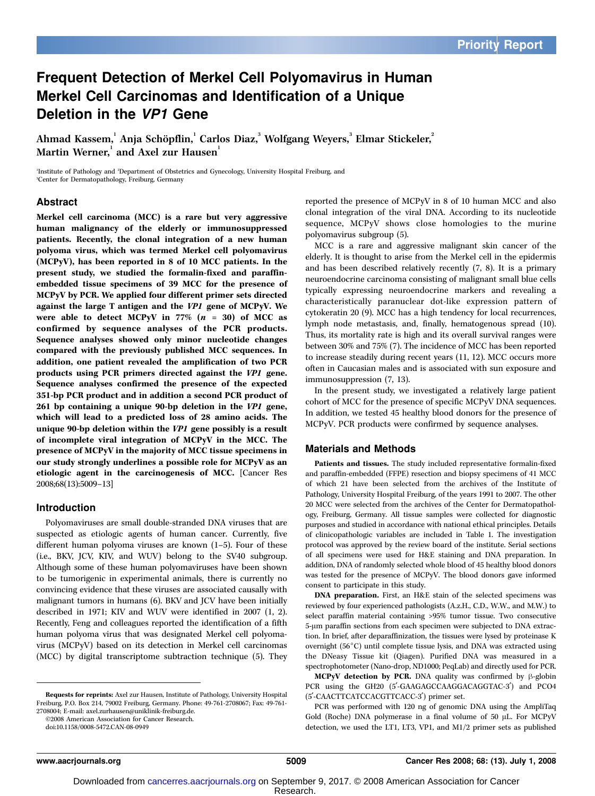### Frequent Detection of Merkel Cell Polyomavirus in Human Merkel Cell Carcinomas and Identification of a Unique Deletion in the VP1 Gene

Ahmad Kassem, $^{\rm l}$  Anja Schöpflin, $^{\rm l}$  Carlos Diaz, $^{\rm 3}$  Wolfgang Weyers, $^{\rm 3}$  Elmar Stickeler, $^{\rm 2}$ Martin Werner, $^{\rm l}$  and Axel zur Hausen $^{\rm l}$ 

1 Institute of Pathology and <sup>2</sup> Department of Obstetrics and Gynecology, University Hospital Freiburg, and 3 Center for Dermatopathology, Freiburg, Germany

#### Abstract

Merkel cell carcinoma (MCC) is a rare but very aggressive human malignancy of the elderly or immunosuppressed patients. Recently, the clonal integration of a new human polyoma virus, which was termed Merkel cell polyomavirus (MCPyV), has been reported in 8of 10 MCC patients. In the present study, we studied the formalin-fixed and paraffinembedded tissue specimens of 39 MCC for the presence of MCPyV by PCR. We applied four different primer sets directed against the large T antigen and the VP1 gene of MCPyV. We were able to detect MCPyV in  $77\%$   $(n = 30)$  of MCC as confirmed by sequence analyses of the PCR products. Sequence analyses showed only minor nucleotide changes compared with the previously published MCC sequences. In addition, one patient revealed the amplification of two PCR products using PCR primers directed against the VP1 gene. Sequence analyses confirmed the presence of the expected 351-bp PCR product and in addition a second PCR product of 261 bp containing a unique 90-bp deletion in the VP1 gene, which will lead to a predicted loss of 28 amino acids. The unique 90-bp deletion within the VP1 gene possibly is a result of incomplete viral integration of MCPyV in the MCC. The presence of MCPyV in the majority of MCC tissue specimens in our study strongly underlines a possible role for MCPyV as an etiologic agent in the carcinogenesis of MCC. [Cancer Res 2008;68(13):5009–13]

#### Introduction

Polyomaviruses are small double-stranded DNA viruses that are suspected as etiologic agents of human cancer. Currently, five different human polyoma viruses are known (1–5). Four of these (i.e., BKV, JCV, KIV, and WUV) belong to the SV40 subgroup. Although some of these human polyomaviruses have been shown to be tumorigenic in experimental animals, there is currently no convincing evidence that these viruses are associated causally with malignant tumors in humans (6). BKV and JCV have been initially described in 1971; KIV and WUV were identified in 2007 (1, 2). Recently, Feng and colleagues reported the identification of a fifth human polyoma virus that was designated Merkel cell polyomavirus (MCPyV) based on its detection in Merkel cell carcinomas (MCC) by digital transcriptome subtraction technique (5). They

©2008 American Association for Cancer Research.

doi:10.1158/0008-5472.CAN-08-0949

reported the presence of MCPyV in 8 of 10 human MCC and also clonal integration of the viral DNA. According to its nucleotide sequence, MCPyV shows close homologies to the murine polyomavirus subgroup (5).

MCC is a rare and aggressive malignant skin cancer of the elderly. It is thought to arise from the Merkel cell in the epidermis and has been described relatively recently (7, 8). It is a primary neuroendocrine carcinoma consisting of malignant small blue cells typically expressing neuroendocrine markers and revealing a characteristically paranuclear dot-like expression pattern of cytokeratin 20 (9). MCC has a high tendency for local recurrences, lymph node metastasis, and, finally, hematogenous spread (10). Thus, its mortality rate is high and its overall survival ranges were between 30% and 75% (7). The incidence of MCC has been reported to increase steadily during recent years (11, 12). MCC occurs more often in Caucasian males and is associated with sun exposure and immunosuppression (7, 13).

In the present study, we investigated a relatively large patient cohort of MCC for the presence of specific MCPyV DNA sequences. In addition, we tested 45 healthy blood donors for the presence of MCPyV. PCR products were confirmed by sequence analyses.

#### Materials and Methods

Patients and tissues. The study included representative formalin-fixed and paraffin-embedded (FFPE) resection and biopsy specimens of 41 MCC of which 21 have been selected from the archives of the Institute of Pathology, University Hospital Freiburg, of the years 1991 to 2007. The other 20 MCC were selected from the archives of the Center for Dermatopathology, Freiburg, Germany. All tissue samples were collected for diagnostic purposes and studied in accordance with national ethical principles. Details of clinicopathologic variables are included in Table 1. The investigation protocol was approved by the review board of the institute. Serial sections of all specimens were used for H&E staining and DNA preparation. In addition, DNA of randomly selected whole blood of 45 healthy blood donors was tested for the presence of MCPyV. The blood donors gave informed consent to participate in this study.

DNA preparation. First, an H&E stain of the selected specimens was reviewed by four experienced pathologists (A.z.H., C.D., W.W., and M.W.) to select paraffin material containing >95% tumor tissue. Two consecutive 5-µm paraffin sections from each specimen were subjected to DNA extraction. In brief, after deparaffinization, the tissues were lysed by proteinase K overnight  $(56^{\circ}C)$  until complete tissue lysis, and DNA was extracted using the DNeasy Tissue kit (Qiagen). Purified DNA was measured in a spectrophotometer (Nano-drop, ND1000; PeqLab) and directly used for PCR. MCPyV detection by PCR. DNA quality was confirmed by  $\beta$ -globin

PCR using the GH20 (5'-GAAGAGCCAAGGACAGGTAC-3') and PCO4 (5'-CAACTTCATCCACGTTCACC-3') primer set.

PCR was performed with 120 ng of genomic DNA using the AmpliTaq Gold (Roche) DNA polymerase in a final volume of 50 µL. For MCPyV detection, we used the LT1, LT3, VP1, and M1/2 primer sets as published

Requests for reprints: Axel zur Hausen, Institute of Pathology, University Hospital Freiburg, P.O. Box 214, 79002 Freiburg, Germany. Phone: 49-761-2708067; Fax: 49-761- 2708004; E-mail: axel.zurhausen@uniklinik-freiburg.de.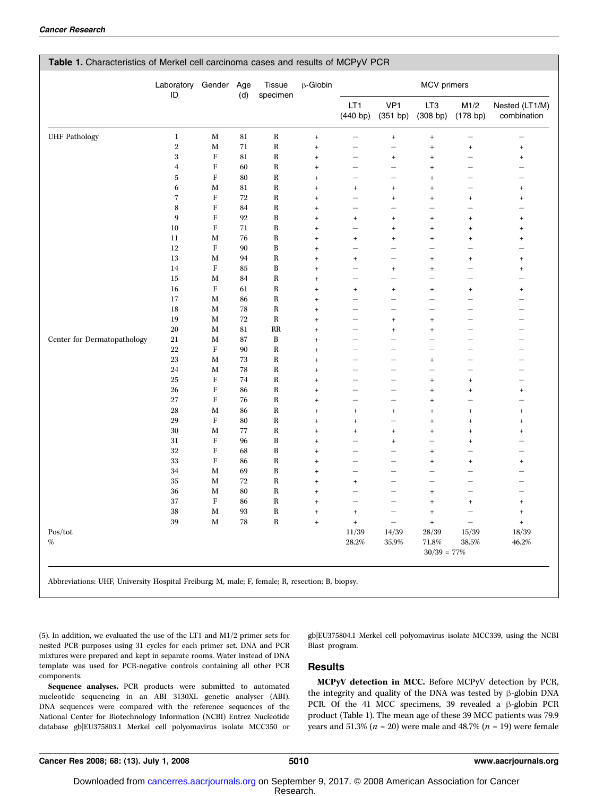|                             |                | Laboratory Gender Age | (d) | Tissue<br>specimen | $\beta$ -Globin                  | MCV primers                      |                                  |                                  |                                  |                                  |
|-----------------------------|----------------|-----------------------|-----|--------------------|----------------------------------|----------------------------------|----------------------------------|----------------------------------|----------------------------------|----------------------------------|
|                             | ID             |                       |     |                    |                                  |                                  |                                  |                                  |                                  |                                  |
|                             |                |                       |     |                    |                                  | LT <sub>1</sub><br>(440 bp)      | VP1<br>(351 bp)                  | LT <sub>3</sub><br>(308 bp)      | M1/2<br>(178 b p)                | Nested (LT1/M)<br>combination    |
| <b>UHF</b> Pathology        | $\bf{l}$       | M                     | 81  | $\rm R$            | $^{+}$                           | $\overline{\phantom{0}}$         | $\begin{array}{c} + \end{array}$ | $^{\mathrm{+}}$                  |                                  |                                  |
|                             | $\,2$          | M                     | 71  | $\mathbf R$        | $^{+}$                           | $\qquad \qquad -$                |                                  | $\, +$                           | $\begin{array}{c} + \end{array}$ | $^{\mathrm{+}}$                  |
|                             | 3              | ${\bf F}$             | 81  | $\bf R$            | $\! + \!$                        | $\overline{\phantom{0}}$         | $^{+}$                           | $\, +$                           | $\overline{\phantom{0}}$         | $^{\mathrm{+}}$                  |
|                             | $\overline{4}$ | F                     | 60  | $\, {\bf R}$       | $^{+}$                           | $\qquad \qquad -$                |                                  | $^{+}$                           | $\overline{\phantom{0}}$         | $\overline{\phantom{0}}$         |
|                             | $\sqrt{5}$     | $\mathbf F$           | 80  | $\, {\bf R}$       | $^{+}$                           | $\overline{\phantom{0}}$         |                                  | $\ddot{}$                        |                                  | $\overline{\phantom{0}}$         |
|                             | 6              | M                     | 81  | $\mathbf R$        | $^{+}$                           | $\begin{array}{c} + \end{array}$ | $^{+}$                           | $\begin{array}{c} + \end{array}$ |                                  | $\begin{array}{c} + \end{array}$ |
|                             | $\overline{7}$ | F                     | 72  | $\bf R$            | $\begin{array}{c} + \end{array}$ | $\overline{\phantom{0}}$         | $^{+}$                           | $\begin{array}{c} + \end{array}$ | $\begin{array}{c} + \end{array}$ | $\ddot{}$                        |
|                             | 8              | $\mathbf F$           | 84  | $\mathbf R$        | $^{+}$                           | $\equiv$                         |                                  |                                  | $\overline{\phantom{0}}$         | $\equiv$                         |
|                             | 9              | $\rm F$               | 92  | $\, {\bf B}$       | $^{+}$                           | $^{\mathrm{+}}$                  | $^{+}$                           | $\begin{array}{c} + \end{array}$ | $^{\mathrm{+}}$                  | $^+$                             |
|                             | $10\,$         | ${\bf F}$             | 71  | $\, {\bf R}$       | $^{+}$                           | $\overline{\phantom{0}}$         | $^{+}$                           | $\, +$                           | $\! + \!$                        | $\! + \!$                        |
|                             | $11\,$         | М                     | 76  | $\, {\bf R}$       | $\ddot{}$                        | $\ddot{}$                        | $^{+}$                           | $\! + \!$                        | $\ddot{}$                        | $^{\mathrm{+}}$                  |
|                             | 12             | $\mathbf F$           | 90  | $\, {\bf B}$       | $^{+}$                           |                                  |                                  |                                  |                                  |                                  |
|                             | 13             | M                     | 94  | $\rm R$            | $^{\mathrm{+}}$                  | $\begin{array}{c} + \end{array}$ |                                  | $\begin{array}{c} + \end{array}$ | $\begin{array}{c} + \end{array}$ | $^+$                             |
|                             | 14             | $\rm F$               | 85  | $\, {\bf B}$       | $\, +$                           | $\equiv$                         | $^{+}$                           | $\, +$                           | $\overline{\phantom{0}}$         | $\begin{array}{c} + \end{array}$ |
|                             | 15             | M                     | 84  | $\mathbf R$        | $\, +$                           | $\equiv$                         | $\overline{\phantom{0}}$         | $\overline{\phantom{a}}$         | $\equiv$                         | $\overline{\phantom{0}}$         |
|                             | 16             | $\rm F$               | 61  | $\, {\bf R}$       | $^{+}$                           | $\! + \!$                        | $^{+}$                           | $\! + \!$                        | $\! + \!$                        | $^{\mathrm{+}}$                  |
|                             | 17             | M                     | 86  | $\, {\bf R}$       | $^{+}$                           |                                  |                                  |                                  | $\overline{\phantom{0}}$         | $\overline{\phantom{0}}$         |
|                             | 18             | M                     | 78  | $\, {\bf R}$       | $^{+}$                           |                                  |                                  |                                  |                                  |                                  |
|                             | 19             | М                     | 72  | $\rm R$            | $\! + \!$                        | $\overline{\phantom{0}}$         | $^{+}$                           | $\, +$                           | $\overline{\phantom{0}}$         | $\overline{\phantom{0}}$         |
|                             | $20\,$         | $\mathbf M$           | 81  | RR                 | $^{+}$                           | $\overline{\phantom{0}}$         | $^{+}$                           | $\qquad \qquad +$                | $\overline{\phantom{0}}$         | $\overline{\phantom{0}}$         |
| Center for Dermatopathology | 21             | M                     | 87  | $\, {\bf B}$       | $^{+}$                           | $\equiv$                         | $\overline{\phantom{0}}$         | $\overline{\phantom{0}}$         | $\equiv$                         | $\equiv$                         |
|                             | 22             | F                     | 90  | $\, {\bf R}$       | $\! + \!$                        |                                  | -                                |                                  |                                  | $\overline{\phantom{0}}$         |
|                             | $23\,$         | M                     | 73  | $\, {\bf R}$       | $^{+}$                           | $\overline{\phantom{0}}$         |                                  | $\, +$                           | $\overline{\phantom{0}}$         | $\overline{\phantom{0}}$         |
|                             | 24             | M                     | 78  | $\bf R$            | $^{+}$                           | —                                |                                  |                                  |                                  |                                  |
|                             | 25             | ${\bf F}$             | 74  | $\, {\bf R}$       | $\! + \!$                        |                                  |                                  | $^{\mathrm{+}}$                  | $+$                              |                                  |
|                             | 26             | F                     | 86  | $\, {\bf R}$       | $\qquad \qquad +$                |                                  |                                  | $^{\mathrm{+}}$                  | $\ddot{}$                        | $^+$                             |
|                             | 27             | $\rm F$               | 76  | $\, {\bf R}$       | $^{+}$                           | $\equiv$                         | $\overline{\phantom{0}}$         | $\, +$                           | $\overline{\phantom{0}}$         | $\overline{\phantom{0}}$         |
|                             | $\bf 28$       | M                     | 86  | $\, {\bf R}$       | $\! + \!$                        | $^{+}$                           | $^{+}$                           | $\begin{array}{c} + \end{array}$ | $^{+}$                           | $\begin{array}{c} + \end{array}$ |
|                             | 29             | F                     | 80  | $\bf R$            | $\! + \!\!\!\!$                  | $\ddot{}$                        |                                  | $\begin{array}{c} + \end{array}$ | $^{+}$                           | $\begin{array}{c} + \end{array}$ |
|                             | $30\,$         | M                     | 77  | $\bf R$            | $\! + \!\!\!\!$                  | $\qquad \qquad +$                | $^{+}$                           | $^{\mathrm{+}}$                  | $\qquad \qquad +$                | $^{\mathrm{+}}$                  |
|                             | 31             | $\rm F$               | 96  | $\, {\bf B}$       | $\! + \!$                        | $\overline{\phantom{0}}$         | $^{+}$                           |                                  | $\! + \!$                        | $\overline{\phantom{0}}$         |
|                             | $32\,$         | F                     | 68  | $\, {\bf B}$       | $^{+}$                           |                                  | ÷                                | $^{\mathrm{+}}$                  | $\equiv$                         | $\overline{\phantom{0}}$         |
|                             | 33             | F                     | 86  | $\, {\bf R}$       | $^{+}$                           | $\overline{\phantom{0}}$         | ÷.                               | $\qquad \qquad +$                | $\ddot{}$                        | $\ddot{}$                        |
|                             | 34             | M                     | 69  | B                  | $^{+}$                           | $\overline{\phantom{0}}$         | $\overline{\phantom{0}}$         |                                  |                                  | $\overline{\phantom{0}}$         |
|                             | $35\,$         | M                     | 72  | $\bf R$            | $^{+}$                           | $\begin{array}{c} + \end{array}$ |                                  |                                  |                                  |                                  |
|                             | 36             | M                     | 80  | $\mathbf R$        | $\! + \!$                        |                                  |                                  | $\, +$                           | $\overline{\phantom{0}}$         |                                  |
|                             | 37             | $\rm F$               | 86  | $\, {\bf R}$       | $\! + \!$                        |                                  | $\overline{\phantom{0}}$         | $\! + \!$                        | $^+$                             | $^{\mathrm{+}}$                  |
|                             | 38             | M                     | 93  | $\, {\bf R}$       | $\qquad \qquad +$                | $\ddot{}$                        | $\overline{\phantom{0}}$         | $^{\mathrm{+}}$                  | $\overline{\phantom{0}}$         | $^+$                             |
|                             | 39             | $\mathbf M$           | 78  | $\, {\bf R}$       | $\qquad \qquad +$                | $\ddot{}$                        | $\equiv$                         | $^{\mathrm{+}}$                  | $\overline{\phantom{0}}$         | $^+$                             |
| Pos/tot                     |                |                       |     |                    |                                  | 11/39                            | 14/39                            | 28/39                            | 15/39                            | 18/39                            |
| $\%$                        |                |                       |     |                    |                                  | $28.2\%$                         | 35.9%                            | 71.8%                            | 38.5%                            | 46.2%                            |
|                             |                |                       |     |                    |                                  |                                  |                                  | $30/39 = 77\%$                   |                                  |                                  |

Abbreviations: UHF, University Hospital Freiburg; M, male; F, female; R, resection; B, biopsy.

(5). In addition, we evaluated the use of the LT1 and M1/2 primer sets for nested PCR purposes using 31 cycles for each primer set. DNA and PCR mixtures were prepared and kept in separate rooms. Water instead of DNA template was used for PCR-negative controls containing all other PCR components.

Sequence analyses. PCR products were submitted to automated nucleotide sequencing in an ABI 3130XL genetic analyser (ABI). DNA sequences were compared with the reference sequences of the National Center for Biotechnology Information (NCBI) Entrez Nucleotide database gb|EU375803.1 Merkel cell polyomavirus isolate MCC350 or gb|EU375804.1 Merkel cell polyomavirus isolate MCC339, using the NCBI Blast program.

#### Results

MCPyV detection in MCC. Before MCPyV detection by PCR, the integrity and quality of the DNA was tested by  $\beta$ -globin DNA PCR. Of the 41 MCC specimens, 39 revealed a  $\beta$ -globin PCR product (Table 1). The mean age of these 39 MCC patients was 79.9 years and 51.3% ( $n = 20$ ) were male and 48.7% ( $n = 19$ ) were female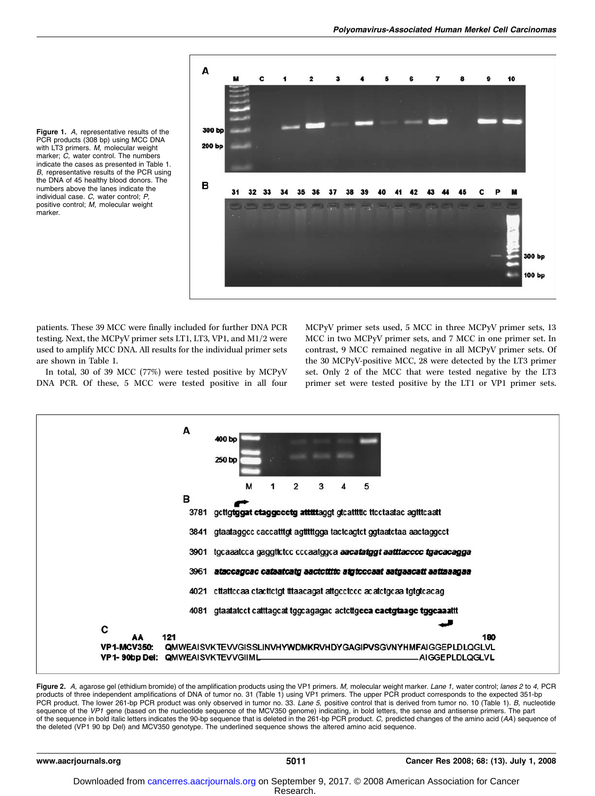

Figure 1. A, representative results of the PCR products (308 bp) using MCC DNA with LT3 primers. M, molecular weight marker; C, water control. The numbers indicate the cases as presented in Table 1. B, representative results of the PCR using the DNA of 45 healthy blood donors. The numbers above the lanes indicate the individual case. C, water control; P, positive control; M, molecular weight marker.

patients. These 39 MCC were finally included for further DNA PCR testing. Next, the MCPyV primer sets LT1, LT3, VP1, and M1/2 were used to amplify MCC DNA. All results for the individual primer sets are shown in Table 1.

In total, 30 of 39 MCC (77%) were tested positive by MCPyV DNA PCR. Of these, 5 MCC were tested positive in all four MCPyV primer sets used, 5 MCC in three MCPyV primer sets, 13 MCC in two MCPyV primer sets, and 7 MCC in one primer set. In contrast, 9 MCC remained negative in all MCPyV primer sets. Of the 30 MCPyV-positive MCC, 28 were detected by the LT3 primer set. Only 2 of the MCC that were tested negative by the LT3 primer set were tested positive by the LT1 or VP1 primer sets.



Figure 2. A, agarose gel (ethidium bromide) of the amplification products using the VP1 primers. M, molecular weight marker. Lane 1, water control; lanes 2 to 4, PCR products of three independent amplifications of DNA of tumor no. 31 (Table 1) using VP1 primers. The upper PCR product corresponds to the expected 351-bp<br>PCR product. The lower 261-bp PCR product was only observed in tumor sequence of the VP1 gene (based on the nucleotide sequence of the MCV350 genome) indicating, in bold letters, the sense and antisense primers. The part of the sequence in bold italic letters indicates the 90-bp sequence that is deleted in the 261-bp PCR product. C, predicted changes of the amino acid (AA) sequence of the deleted (VP1 90 bp Del) and MCV350 genotype. The underlined sequence shows the altered amino acid sequence.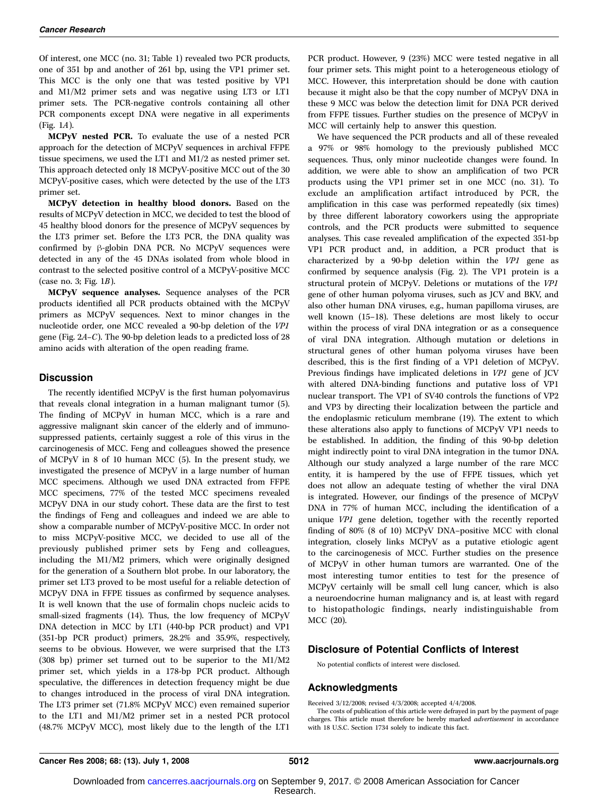Of interest, one MCC (no. 31; Table 1) revealed two PCR products, one of 351 bp and another of 261 bp, using the VP1 primer set. This MCC is the only one that was tested positive by VP1 and M1/M2 primer sets and was negative using LT3 or LT1 primer sets. The PCR-negative controls containing all other PCR components except DNA were negative in all experiments (Fig. 1A).

MCPyV nested PCR. To evaluate the use of a nested PCR approach for the detection of MCPyV sequences in archival FFPE tissue specimens, we used the LT1 and M1/2 as nested primer set. This approach detected only 18 MCPyV-positive MCC out of the 30 MCPyV-positive cases, which were detected by the use of the LT3 primer set.

MCPyV detection in healthy blood donors. Based on the results of MCPyV detection in MCC, we decided to test the blood of 45 healthy blood donors for the presence of MCPyV sequences by the LT3 primer set. Before the LT3 PCR, the DNA quality was confirmed by  $\beta$ -globin DNA PCR. No MCPyV sequences were detected in any of the 45 DNAs isolated from whole blood in contrast to the selected positive control of a MCPyV-positive MCC (case no. 3; Fig. 1B).

MCPyV sequence analyses. Sequence analyses of the PCR products identified all PCR products obtained with the MCPyV primers as MCPyV sequences. Next to minor changes in the nucleotide order, one MCC revealed a 90-bp deletion of the VP1 gene (Fig. 2A–C). The 90-bp deletion leads to a predicted loss of 28 amino acids with alteration of the open reading frame.

#### **Discussion**

The recently identified MCPyV is the first human polyomavirus that reveals clonal integration in a human malignant tumor (5). The finding of MCPyV in human MCC, which is a rare and aggressive malignant skin cancer of the elderly and of immunosuppressed patients, certainly suggest a role of this virus in the carcinogenesis of MCC. Feng and colleagues showed the presence of MCPyV in 8 of 10 human MCC (5). In the present study, we investigated the presence of MCPyV in a large number of human MCC specimens. Although we used DNA extracted from FFPE MCC specimens, 77% of the tested MCC specimens revealed MCPyV DNA in our study cohort. These data are the first to test the findings of Feng and colleagues and indeed we are able to show a comparable number of MCPyV-positive MCC. In order not to miss MCPyV-positive MCC, we decided to use all of the previously published primer sets by Feng and colleagues, including the M1/M2 primers, which were originally designed for the generation of a Southern blot probe. In our laboratory, the primer set LT3 proved to be most useful for a reliable detection of MCPyV DNA in FFPE tissues as confirmed by sequence analyses. It is well known that the use of formalin chops nucleic acids to small-sized fragments (14). Thus, the low frequency of MCPyV DNA detection in MCC by LT1 (440-bp PCR product) and VP1 (351-bp PCR product) primers, 28.2% and 35.9%, respectively, seems to be obvious. However, we were surprised that the LT3 (308 bp) primer set turned out to be superior to the M1/M2 primer set, which yields in a 178-bp PCR product. Although speculative, the differences in detection frequency might be due to changes introduced in the process of viral DNA integration. The LT3 primer set (71.8% MCPyV MCC) even remained superior to the LT1 and M1/M2 primer set in a nested PCR protocol (48.7% MCPyV MCC), most likely due to the length of the LT1

PCR product. However, 9 (23%) MCC were tested negative in all four primer sets. This might point to a heterogeneous etiology of MCC. However, this interpretation should be done with caution because it might also be that the copy number of MCPyV DNA in these 9 MCC was below the detection limit for DNA PCR derived from FFPE tissues. Further studies on the presence of MCPyV in MCC will certainly help to answer this question.

We have sequenced the PCR products and all of these revealed a 97% or 98% homology to the previously published MCC sequences. Thus, only minor nucleotide changes were found. In addition, we were able to show an amplification of two PCR products using the VP1 primer set in one MCC (no. 31). To exclude an amplification artifact introduced by PCR, the amplification in this case was performed repeatedly (six times) by three different laboratory coworkers using the appropriate controls, and the PCR products were submitted to sequence analyses. This case revealed amplification of the expected 351-bp VP1 PCR product and, in addition, a PCR product that is characterized by a 90-bp deletion within the VP1 gene as confirmed by sequence analysis (Fig. 2). The VP1 protein is a structural protein of MCPyV. Deletions or mutations of the VP1 gene of other human polyoma viruses, such as JCV and BKV, and also other human DNA viruses, e.g., human papilloma viruses, are well known (15–18). These deletions are most likely to occur within the process of viral DNA integration or as a consequence of viral DNA integration. Although mutation or deletions in structural genes of other human polyoma viruses have been described, this is the first finding of a VP1 deletion of MCPyV. Previous findings have implicated deletions in VP1 gene of JCV with altered DNA-binding functions and putative loss of VP1 nuclear transport. The VP1 of SV40 controls the functions of VP2 and VP3by directing their localization between the particle and the endoplasmic reticulum membrane (19). The extent to which these alterations also apply to functions of MCPyV VP1 needs to be established. In addition, the finding of this 90-bp deletion might indirectly point to viral DNA integration in the tumor DNA. Although our study analyzed a large number of the rare MCC entity, it is hampered by the use of FFPE tissues, which yet does not allow an adequate testing of whether the viral DNA is integrated. However, our findings of the presence of MCPyV DNA in 77% of human MCC, including the identification of a unique VP1 gene deletion, together with the recently reported finding of 80% (8 of 10) MCPyV DNA–positive MCC with clonal integration, closely links MCPyV as a putative etiologic agent to the carcinogenesis of MCC. Further studies on the presence of MCPyV in other human tumors are warranted. One of the most interesting tumor entities to test for the presence of MCPyV certainly will be small cell lung cancer, which is also a neuroendocrine human malignancy and is, at least with regard to histopathologic findings, nearly indistinguishable from MCC (20).

#### Disclosure of Potential Conflicts of Interest

No potential conflicts of interest were disclosed.

#### Acknowledgments

Received 3/12/2008; revised 4/3/2008; accepted 4/4/2008.

The costs of publication of this article were defrayed in part by the payment of page charges. This article must therefore be hereby marked *advertisement* in accordance with 18 U.S.C. Section 1734 solely to indicate this fact.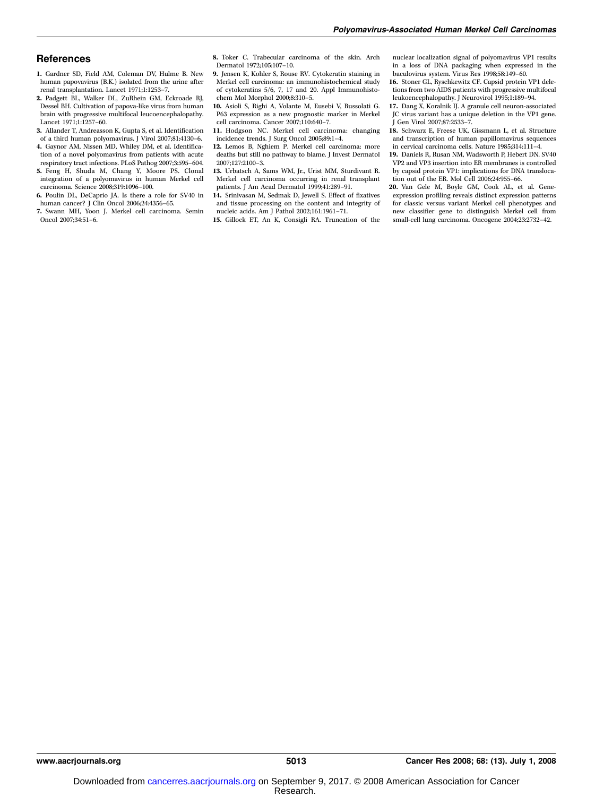#### **References**

- 1. Gardner SD, Field AM, Coleman DV, Hulme B. New human papovavirus (B.K.) isolated from the urine after renal transplantation. Lancet 1971;1:1253–7.
- 2. Padgett BL, Walker DL, ZuRhein GM, Eckroade RJ, Dessel BH. Cultivation of papova-like virus from human brain with progressive multifocal leucoencephalopathy. Lancet 1971;1:1257–60.
- 3. Allander T, Andreasson K, Gupta S, et al. Identification
- of a third human polyomavirus. J Virol 2007;81:4130–6. 4. Gaynor AM, Nissen MD, Whiley DM, et al. Identification of a novel polyomavirus from patients with acute
- respiratory tract infections. PLoS Pathog 2007;3:595–604. 5. Feng H, Shuda M, Chang Y, Moore PS. Clonal integration of a polyomavirus in human Merkel cell
- carcinoma. Science 2008;319:1096–100. 6. Poulin DL, DeCaprio JA. Is there a role for SV40 in human cancer? J Clin Oncol 2006;24:4356–65.
- 7. Swann MH, Yoon J. Merkel cell carcinoma. Semin Oncol 2007;34:51–6.
- 8. Toker C. Trabecular carcinoma of the skin. Arch Dermatol 1972;105:107–10.
- 9. Jensen K, Kohler S, Rouse RV. Cytokeratin staining in Merkel cell carcinoma: an immunohistochemical study of cytokeratins 5/6, 7, 17 and 20. Appl Immunohistochem Mol Morphol 2000;8:310–5.
- 10. Asioli S, Righi A, Volante M, Eusebi V, Bussolati G. P63 expression as a new prognostic marker in Merkel cell carcinoma. Cancer 2007;110:640–7.
- 11. Hodgson NC. Merkel cell carcinoma: changing incidence trends. J Surg Oncol 2005;89:1–4.
- 12. Lemos B, Nghiem P. Merkel cell carcinoma: more deaths but still no pathway to blame. J Invest Dermatol 2007;127:2100–3.
- 13. Urbatsch A, Sams WM, Jr., Urist MM, Sturdivant R. Merkel cell carcinoma occurring in renal transplant patients. J Am Acad Dermatol 1999;41:289–91.
- 14. Srinivasan M, Sedmak D, Jewell S. Effect of fixatives and tissue processing on the content and integrity of nucleic acids. Am J Pathol 2002;161:1961–71.
- 15. Gillock ET, An K, Consigli RA. Truncation of the

nuclear localization signal of polyomavirus VP1 results in a loss of DNA packaging when expressed in the baculovirus system. Virus Res 1998;58:149–60.

- 16. Stoner GL, Ryschkewitz CF. Capsid protein VP1 deletions from two AIDS patients with progressive multifocal leukoencephalopathy. J Neurovirol 1995;1:189–94.
- 17. Dang X, Koralnik IJ. A granule cell neuron-associated JC virus variant has a unique deletion in the VP1 gene. J Gen Virol 2007;87:2533–7.
- 18. Schwarz E, Freese UK, Gissmann L, et al. Structure and transcription of human papillomavirus sequences in cervical carcinoma cells. Nature 1985;314:111–4.
- 19. Daniels R, Rusan NM, Wadsworth P, Hebert DN. SV40 VP2 and VP3 insertion into ER membranes is controlled by capsid protein VP1: implications for DNA translocation out of the ER. Mol Cell 2006;24:955–66.
- 20. Van Gele M, Boyle GM, Cook AL, et al. Geneexpression profiling reveals distinct expression patterns for classic versus variant Merkel cell phenotypes and new classifier gene to distinguish Merkel cell from small-cell lung carcinoma. Oncogene 2004;23:2732–42.